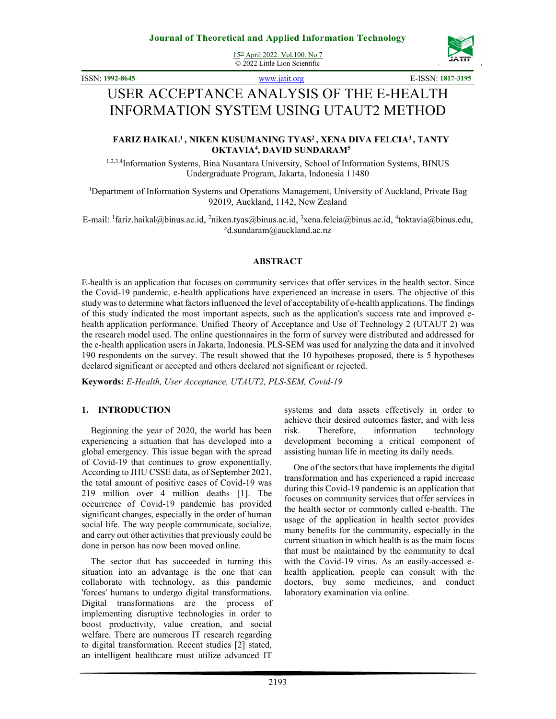15th April 2022. Vol.100. No 7 © 2022 Little Lion Scientific



ISSN: **1992-8645** www.jatit.org E-ISSN: **1817-3195**

# USER ACCEPTANCE ANALYSIS OF THE E-HEALTH INFORMATION SYSTEM USING UTAUT2 METHOD

### **FARIZ HAIKAL<sup>1</sup>, NIKEN KUSUMANING TYAS<sup>2</sup>, XENA DIVA FELCIA<sup>3</sup>, TANTY OKTAVIA<sup>4</sup> , DAVID SUNDARAM<sup>5</sup>**

1,2,3,4Information Systems, Bina Nusantara University, School of Information Systems, BINUS Undergraduate Program, Jakarta, Indonesia 11480

<sup>4</sup>Department of Information Systems and Operations Management, University of Auckland, Private Bag 92019, Auckland, 1142, New Zealand

E-mail: <sup>1</sup>fariz.haikal@binus.ac.id, <sup>2</sup>niken.tyas@binus.ac.id, <sup>3</sup>xena.felcia@binus.ac.id, <sup>4</sup>toktavia@binus.edu,  $5d$ .sundaram@auckland.ac.nz

#### **ABSTRACT**

E-health is an application that focuses on community services that offer services in the health sector. Since the Covid-19 pandemic, e-health applications have experienced an increase in users. The objective of this study was to determine what factors influenced the level of acceptability of e-health applications. The findings of this study indicated the most important aspects, such as the application's success rate and improved ehealth application performance. Unified Theory of Acceptance and Use of Technology 2 (UTAUT 2) was the research model used. The online questionnaires in the form of survey were distributed and addressed for the e-health application users in Jakarta, Indonesia. PLS-SEM was used for analyzing the data and it involved 190 respondents on the survey. The result showed that the 10 hypotheses proposed, there is 5 hypotheses declared significant or accepted and others declared not significant or rejected.

**Keywords:** *E-Health, User Acceptance, UTAUT2, PLS-SEM, Covid-19* 

### **1. INTRODUCTION**

Beginning the year of 2020, the world has been experiencing a situation that has developed into a global emergency. This issue began with the spread of Covid-19 that continues to grow exponentially. According to JHU CSSE data, as of September 2021, the total amount of positive cases of Covid-19 was 219 million over 4 million deaths [1]. The occurrence of Covid-19 pandemic has provided significant changes, especially in the order of human social life. The way people communicate, socialize, and carry out other activities that previously could be done in person has now been moved online.

The sector that has succeeded in turning this situation into an advantage is the one that can collaborate with technology, as this pandemic 'forces' humans to undergo digital transformations. Digital transformations are the process of implementing disruptive technologies in order to boost productivity, value creation, and social welfare. There are numerous IT research regarding to digital transformation. Recent studies [2] stated, an intelligent healthcare must utilize advanced IT

systems and data assets effectively in order to achieve their desired outcomes faster, and with less risk. Therefore, information technology development becoming a critical component of assisting human life in meeting its daily needs.

One of the sectors that have implements the digital transformation and has experienced a rapid increase during this Covid-19 pandemic is an application that focuses on community services that offer services in the health sector or commonly called e-health. The usage of the application in health sector provides many benefits for the community, especially in the current situation in which health is as the main focus that must be maintained by the community to deal with the Covid-19 virus. As an easily-accessed ehealth application, people can consult with the doctors, buy some medicines, and conduct laboratory examination via online.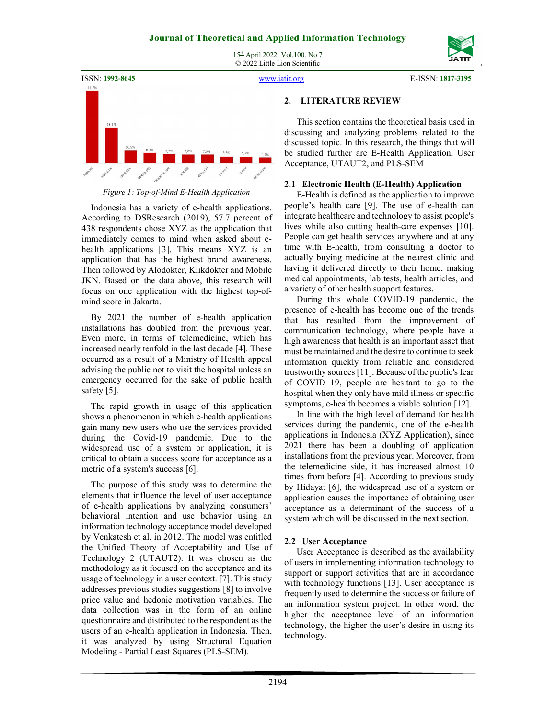15th April 2022. Vol.100. No 7 © 2022 Little Lion Scientific





### *Figure 1: Top-of-Mind E-Health Application*

Indonesia has a variety of e-health applications. According to DSResearch (2019), 57.7 percent of 438 respondents chose XYZ as the application that immediately comes to mind when asked about ehealth applications [3]. This means XYZ is an application that has the highest brand awareness. Then followed by Alodokter, Klikdokter and Mobile JKN. Based on the data above, this research will focus on one application with the highest top-ofmind score in Jakarta.

By 2021 the number of e-health application installations has doubled from the previous year. Even more, in terms of telemedicine, which has increased nearly tenfold in the last decade [4]. These occurred as a result of a Ministry of Health appeal advising the public not to visit the hospital unless an emergency occurred for the sake of public health safety [5].

The rapid growth in usage of this application shows a phenomenon in which e-health applications gain many new users who use the services provided during the Covid-19 pandemic. Due to the widespread use of a system or application, it is critical to obtain a success score for acceptance as a metric of a system's success [6].

The purpose of this study was to determine the elements that influence the level of user acceptance of e-health applications by analyzing consumers' behavioral intention and use behavior using an information technology acceptance model developed by Venkatesh et al. in 2012. The model was entitled the Unified Theory of Acceptability and Use of Technology 2 (UTAUT2). It was chosen as the methodology as it focused on the acceptance and its usage of technology in a user context. [7]. This study addresses previous studies suggestions [8] to involve price value and hedonic motivation variables. The data collection was in the form of an online questionnaire and distributed to the respondent as the users of an e-health application in Indonesia. Then, it was analyzed by using Structural Equation Modeling - Partial Least Squares (PLS-SEM).

### **2. LITERATURE REVIEW**

This section contains the theoretical basis used in discussing and analyzing problems related to the discussed topic. In this research, the things that will be studied further are E-Health Application, User Acceptance, UTAUT2, and PLS-SEM

### **2.1 Electronic Health (E-Health) Application**

E-Health is defined as the application to improve people's health care [9]. The use of e-health can integrate healthcare and technology to assist people's lives while also cutting health-care expenses [10]. People can get health services anywhere and at any time with E-health, from consulting a doctor to actually buying medicine at the nearest clinic and having it delivered directly to their home, making medical appointments, lab tests, health articles, and a variety of other health support features.

During this whole COVID-19 pandemic, the presence of e-health has become one of the trends that has resulted from the improvement of communication technology, where people have a high awareness that health is an important asset that must be maintained and the desire to continue to seek information quickly from reliable and considered trustworthy sources [11]. Because of the public's fear of COVID 19, people are hesitant to go to the hospital when they only have mild illness or specific symptoms, e-health becomes a viable solution [12].

In line with the high level of demand for health services during the pandemic, one of the e-health applications in Indonesia (XYZ Application), since 2021 there has been a doubling of application installations from the previous year. Moreover, from the telemedicine side, it has increased almost 10 times from before [4]. According to previous study by Hidayat [6], the widespread use of a system or application causes the importance of obtaining user acceptance as a determinant of the success of a system which will be discussed in the next section.

### **2.2 User Acceptance**

User Acceptance is described as the availability of users in implementing information technology to support or support activities that are in accordance with technology functions [13]. User acceptance is frequently used to determine the success or failure of an information system project. In other word, the higher the acceptance level of an information technology, the higher the user's desire in using its technology.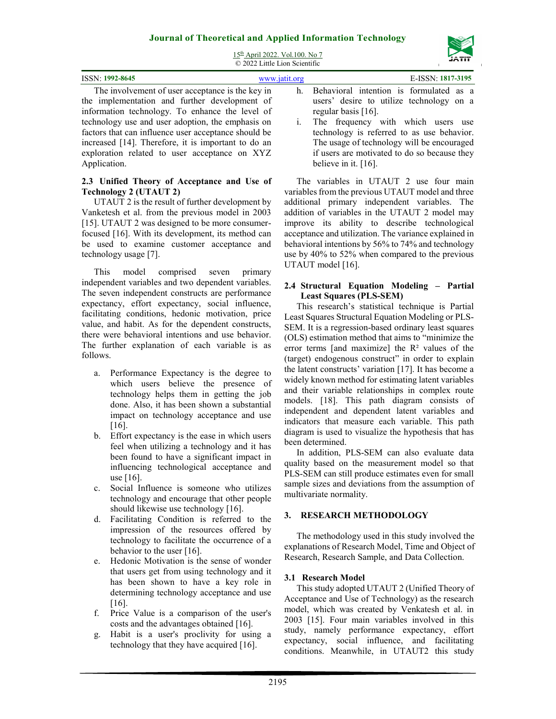



| ISSN: 1992-8645                                      | www.jatit.org | E-ISSN: 1817-3195                            |
|------------------------------------------------------|---------------|----------------------------------------------|
| The involvement of user acceptance is the key in     |               | h. Behavioral intention is formulated as a   |
| the implementation and further development of        |               | users' desire to utilize technology on a     |
| information technology. To enhance the level of      |               | regular basis $[16]$ .                       |
| technology use and user adoption, the emphasis on    |               | i. The frequency with which users use        |
| factors that can influence user acceptance should be |               | technology is referred to as use behavior.   |
| increased [14]. Therefore, it is important to do an  |               | The usage of technology will be encouraged   |
| exploration related to user acceptance on XYZ        |               | if users are motivated to do so because they |

### **2.3 Unified Theory of Acceptance and Use of Technology 2 (UTAUT 2)**

Application.

UTAUT 2 is the result of further development by Vanketesh et al. from the previous model in 2003 [15]. UTAUT 2 was designed to be more consumerfocused [16]. With its development, its method can be used to examine customer acceptance and technology usage [7].

This model comprised seven primary independent variables and two dependent variables. The seven independent constructs are performance expectancy, effort expectancy, social influence, facilitating conditions, hedonic motivation, price value, and habit. As for the dependent constructs, there were behavioral intentions and use behavior. The further explanation of each variable is as follows.

- a. Performance Expectancy is the degree to which users believe the presence of technology helps them in getting the job done. Also, it has been shown a substantial impact on technology acceptance and use [16].
- b. Effort expectancy is the ease in which users feel when utilizing a technology and it has been found to have a significant impact in influencing technological acceptance and use [16].
- c. Social Influence is someone who utilizes technology and encourage that other people should likewise use technology [16].
- d. Facilitating Condition is referred to the impression of the resources offered by technology to facilitate the occurrence of a behavior to the user [16].
- e. Hedonic Motivation is the sense of wonder that users get from using technology and it has been shown to have a key role in determining technology acceptance and use [16].
- f. Price Value is a comparison of the user's costs and the advantages obtained [16].
- g. Habit is a user's proclivity for using a technology that they have acquired [16].

otivated to do so because they believe in it. [16].

The variables in UTAUT 2 use four main variables from the previous UTAUT model and three additional primary independent variables. The addition of variables in the UTAUT 2 model may improve its ability to describe technological acceptance and utilization. The variance explained in behavioral intentions by 56% to 74% and technology use by 40% to 52% when compared to the previous UTAUT model [16].

### **2.4 Structural Equation Modeling – Partial Least Squares (PLS-SEM)**

This research's statistical technique is Partial Least Squares Structural Equation Modeling or PLS-SEM. It is a regression-based ordinary least squares (OLS) estimation method that aims to "minimize the error terms [and maximize] the  $R<sup>2</sup>$  values of the (target) endogenous construct" in order to explain the latent constructs' variation [17]. It has become a widely known method for estimating latent variables and their variable relationships in complex route models. [18]. This path diagram consists of independent and dependent latent variables and indicators that measure each variable. This path diagram is used to visualize the hypothesis that has been determined.

In addition, PLS-SEM can also evaluate data quality based on the measurement model so that PLS-SEM can still produce estimates even for small sample sizes and deviations from the assumption of multivariate normality.

### **3. RESEARCH METHODOLOGY**

The methodology used in this study involved the explanations of Research Model, Time and Object of Research, Research Sample, and Data Collection.

### **3.1 Research Model**

This study adopted UTAUT 2 (Unified Theory of Acceptance and Use of Technology) as the research model, which was created by Venkatesh et al. in 2003 [15]. Four main variables involved in this study, namely performance expectancy, effort expectancy, social influence, and facilitating conditions. Meanwhile, in UTAUT2 this study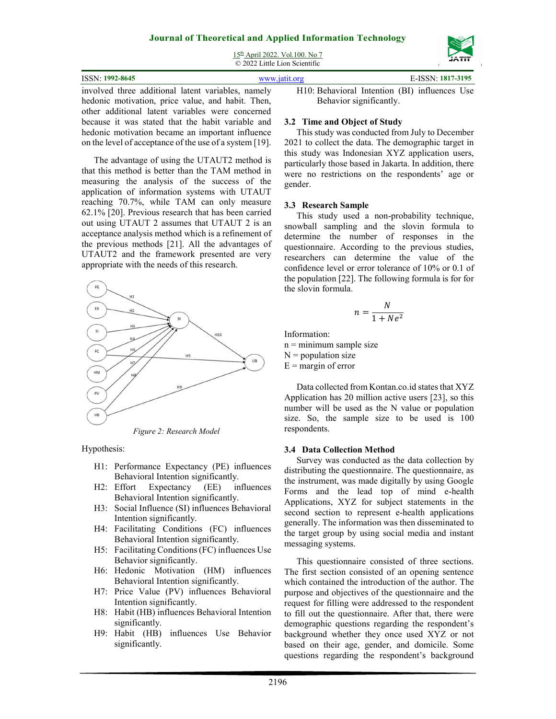15th April 2022. Vol.100. No 7 © 2022 Little Lion Scientific



# other additional latent variables were concerned because it was stated that the habit variable and hedonic motivation became an important influence on the level of acceptance of the use of a system [19].

The advantage of using the UTAUT2 method is that this method is better than the TAM method in measuring the analysis of the success of the application of information systems with UTAUT reaching 70.7%, while TAM can only measure 62.1% [20]. Previous research that has been carried out using UTAUT 2 assumes that UTAUT 2 is an acceptance analysis method which is a refinement of the previous methods [21]. All the advantages of UTAUT2 and the framework presented are very appropriate with the needs of this research.



*Figure 2: Research Model* 

Hypothesis:

- H1: Performance Expectancy (PE) influences Behavioral Intention significantly.
- H2: Effort Expectancy (EE) influences Behavioral Intention significantly.
- H3: Social Influence (SI) influences Behavioral Intention significantly.
- H4: Facilitating Conditions (FC) influences Behavioral Intention significantly.
- H5: Facilitating Conditions (FC) influences Use Behavior significantly.
- H6: Hedonic Motivation (HM) influences Behavioral Intention significantly.
- H7: Price Value (PV) influences Behavioral Intention significantly.
- H8: Habit (HB) influences Behavioral Intention significantly.
- H9: Habit (HB) influences Use Behavior significantly.

H10: Behavioral Intention (BI) influences Use

### **3.2 Time and Object of Study**

This study was conducted from July to December 2021 to collect the data. The demographic target in this study was Indonesian XYZ application users, particularly those based in Jakarta. In addition, there were no restrictions on the respondents' age or gender.

### **3.3 Research Sample**

This study used a non-probability technique, snowball sampling and the slovin formula to determine the number of responses in the questionnaire. According to the previous studies, researchers can determine the value of the confidence level or error tolerance of 10% or 0.1 of the population [22]. The following formula is for for the slovin formula.

$$
n = \frac{N}{1 + Ne^2}
$$

Information:  $n =$  minimum sample size  $N =$  population size  $E =$  margin of error

Data collected from Kontan.co.id states that XYZ Application has 20 million active users [23], so this number will be used as the N value or population size. So, the sample size to be used is 100 respondents.

### **3.4 Data Collection Method**

Survey was conducted as the data collection by distributing the questionnaire. The questionnaire, as the instrument, was made digitally by using Google Forms and the lead top of mind e-health Applications, XYZ for subject statements in the second section to represent e-health applications generally. The information was then disseminated to the target group by using social media and instant messaging systems.

This questionnaire consisted of three sections. The first section consisted of an opening sentence which contained the introduction of the author. The purpose and objectives of the questionnaire and the request for filling were addressed to the respondent to fill out the questionnaire. After that, there were demographic questions regarding the respondent's background whether they once used XYZ or not based on their age, gender, and domicile. Some questions regarding the respondent's background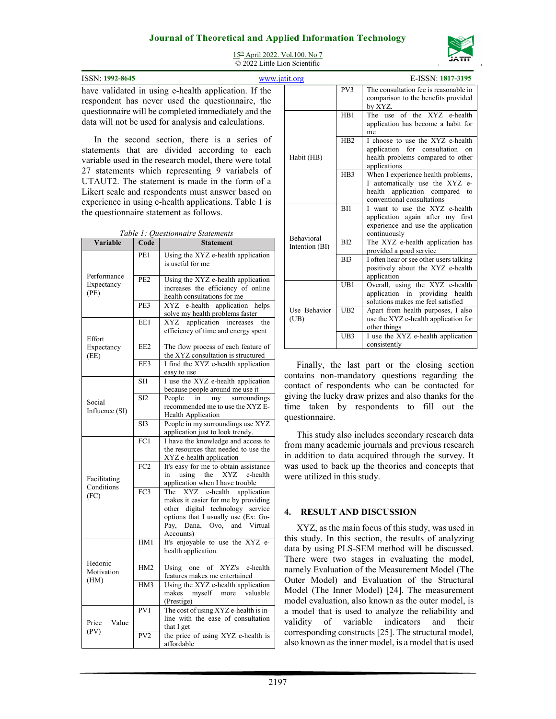

15th April 2022. Vol.100. No 7 © 2022 Little Lion Scientific

**ISSN:** 1992-8645 **www.jatit.org E-ISSN:** 1992-8645 have validated in using e-health application. If the respondent has never used the questionnaire, the questionnaire will be completed immediately and the data will not be used for analysis and calculations.

In the second section, there is a series of statements that are divided according to each variable used in the research model, there were total 27 statements which representing 9 variabels of UTAUT2. The statement is made in the form of a Likert scale and respondents must answer based on experience in using e-health applications. Table 1 is the questionnaire statement as follows.

| Table 1: Questionnaire Statements |                 |                                                                                                                                                                                                  |  |  |
|-----------------------------------|-----------------|--------------------------------------------------------------------------------------------------------------------------------------------------------------------------------------------------|--|--|
| Variable                          | Code            | <b>Statement</b>                                                                                                                                                                                 |  |  |
|                                   | PE1             | Using the XYZ e-health application<br>is useful for me                                                                                                                                           |  |  |
| Performance<br>Expectancy<br>(PE) | PE <sub>2</sub> | Using the XYZ e-health application<br>increases the efficiency of online<br>health consultations for me                                                                                          |  |  |
|                                   | PE3             | e-health application<br>XYZ<br>helps<br>solve my health problems faster                                                                                                                          |  |  |
| Effort                            | EE1             | application<br>XYZ<br>increases<br>the<br>efficiency of time and energy spent                                                                                                                    |  |  |
| Expectancy<br>(EE)                | EE <sub>2</sub> | The flow process of each feature of<br>the XYZ consultation is structured                                                                                                                        |  |  |
|                                   | EE3             | I find the XYZ e-health application<br>easy to use                                                                                                                                               |  |  |
|                                   | SI1             | I use the XYZ e-health application<br>because people around me use it                                                                                                                            |  |  |
| Social<br>Influence (SI)          | S <sub>I2</sub> | People<br>in<br>my<br>surroundings<br>recommended me to use the XYZ E-<br><b>Health Application</b>                                                                                              |  |  |
|                                   | SI3             | People in my surroundings use XYZ<br>application just to look trendy.                                                                                                                            |  |  |
|                                   | FC1             | I have the knowledge and access to<br>the resources that needed to use the<br>XYZ e-health application                                                                                           |  |  |
| Facilitating<br>Conditions        | FC2             | It's easy for me to obtain assistance<br>the<br>XYZ<br>e-health<br>in<br>using<br>application when I have trouble                                                                                |  |  |
| (FC)                              | FC <sub>3</sub> | The XYZ e-health<br>application<br>makes it easier for me by providing<br>other digital technology service<br>options that I usually use (Ex: Go-<br>Pay, Dana, Ovo, and<br>Virtual<br>Accounts) |  |  |
|                                   | HM1             | It's enjoyable to use the XYZ e-<br>health application.                                                                                                                                          |  |  |
| Hedonic<br>Motivation<br>(HM)     | HM <sub>2</sub> | Using<br>XYZ's<br>e-health<br>of<br>one<br>features makes me entertained                                                                                                                         |  |  |
|                                   | HM3             | Using the XYZ e-health application<br>makes<br>myself more valuable<br>(Prestige)                                                                                                                |  |  |
| Price<br>Value                    | PV1             | The cost of using XYZ e-health is in-<br>line with the ease of consultation<br>that I get                                                                                                        |  |  |
| (PV)                              | PV <sub>2</sub> | the price of using XYZ e-health is<br>affordable                                                                                                                                                 |  |  |

*Table 1: Questionnaire Statements*

| atit.org                            |                  | E-ISSN: 1817-3195                                                                                                                          |
|-------------------------------------|------------------|--------------------------------------------------------------------------------------------------------------------------------------------|
|                                     | PV <sub>3</sub>  | The consultation fee is reasonable in<br>comparison to the benefits provided<br>by XYZ.                                                    |
|                                     | HB1              | The use of the XYZ e-health<br>application has become a habit for<br>me                                                                    |
| Habit (HB)                          | H <sub>B2</sub>  | I choose to use the XYZ e-health<br>application for consultation<br><sub>on</sub><br>health problems compared to other<br>applications     |
|                                     | H <sub>B</sub> 3 | When I experience health problems,<br>I automatically use the XYZ e-<br>application compared<br>health<br>to<br>conventional consultations |
|                                     | BI1              | I want to use the XYZ e-health<br>application again after my first<br>experience and use the application<br>continuously                   |
| <b>Behavioral</b><br>Intention (BI) | BI2              | The XYZ e-health application has<br>provided a good service                                                                                |
|                                     | B <sub>13</sub>  | I often hear or see other users talking<br>positively about the XYZ e-health<br>application                                                |
|                                     | UB1              | Overall, using the XYZ e-health<br>application in providing<br>health<br>solutions makes me feel satisfied                                 |
| Use Behavior<br>(UB)                | UB2              | Apart from health purposes, I also<br>use the XYZ e-health application for<br>other things                                                 |
|                                     | UB <sub>3</sub>  | I use the XYZ e-health application<br>consistently                                                                                         |

Finally, the last part or the closing section contains non-mandatory questions regarding the contact of respondents who can be contacted for giving the lucky draw prizes and also thanks for the time taken by respondents to fill out the questionnaire.

This study also includes secondary research data from many academic journals and previous research in addition to data acquired through the survey. It was used to back up the theories and concepts that were utilized in this study.

### **4. RESULT AND DISCUSSION**

XYZ, as the main focus of this study, was used in this study. In this section, the results of analyzing data by using PLS-SEM method will be discussed. There were two stages in evaluating the model, namely Evaluation of the Measurement Model (The Outer Model) and Evaluation of the Structural Model (The Inner Model) [24]. The measurement model evaluation, also known as the outer model, is a model that is used to analyze the reliability and validity of variable indicators and their corresponding constructs [25]. The structural model, also known as the inner model, is a model that is used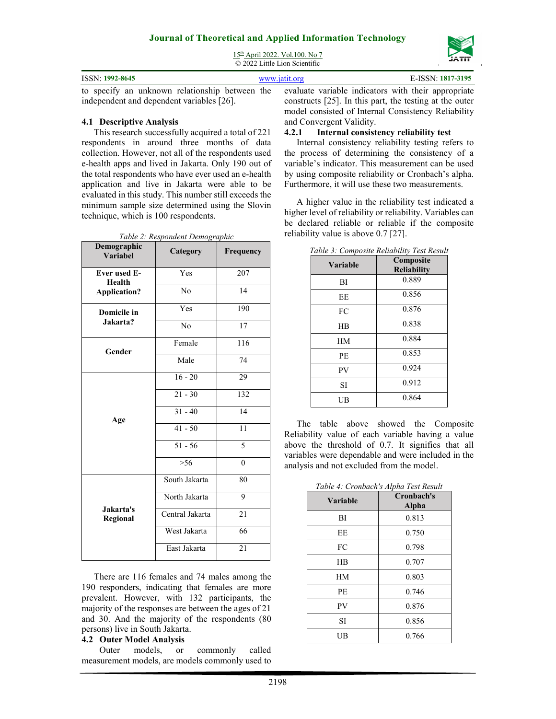

15th April 2022. Vol.100. No 7 © 2022 Little Lion Scientific

| <b>ISSN: 1992-8645</b>                                                                             | www.jatit.org | E-ISSN: 1817-3195                                          |
|----------------------------------------------------------------------------------------------------|---------------|------------------------------------------------------------|
| to specify an unknown relationship between the evaluate variable indicators with their appropriate |               |                                                            |
| independent and dependent variables [26].                                                          |               | constructs $[25]$ . In this part, the testing at the outer |

#### **4.1 Descriptive Analysis**

This research successfully acquired a total of 221 respondents in around three months of data collection. However, not all of the respondents used e-health apps and lived in Jakarta. Only 190 out of the total respondents who have ever used an e-health application and live in Jakarta were able to be evaluated in this study. This number still exceeds the minimum sample size determined using the Slovin technique, which is 100 respondents.

| Demographic<br>Variabel              | Category        | Frequency                |
|--------------------------------------|-----------------|--------------------------|
| <b>Ever used E-</b><br><b>Health</b> | Yes             | 207                      |
| <b>Application?</b>                  | No              | 14                       |
| Domicile in                          | Yes             | 190                      |
| Jakarta?                             | N <sub>0</sub>  | 17                       |
| Gender                               | Female          | 116                      |
|                                      | Male            | 74                       |
|                                      | $16 - 20$       | 29                       |
|                                      | $21 - 30$       | 132                      |
| Age                                  | $31 - 40$       | 14                       |
|                                      | $41 - 50$       | 11                       |
|                                      | $51 - 56$       | $\overline{\phantom{0}}$ |
|                                      | $> 56$          | $\theta$                 |
|                                      | South Jakarta   | 80                       |
|                                      | North Jakarta   | 9                        |
| Jakarta's<br>Regional                | Central Jakarta | 21                       |
|                                      | West Jakarta    | 66                       |
|                                      | East Jakarta    | 21                       |

*Table 2: Respondent Demographic* 

There are 116 females and 74 males among the 190 responders, indicating that females are more prevalent. However, with 132 participants, the majority of the responses are between the ages of 21 and 30. And the majority of the respondents (80 persons) live in South Jakarta.

### **4.2 Outer Model Analysis**

Outer models, or commonly called measurement models, are models commonly used to constructs [25]. In this part, the testing at the outer model consisted of Internal Consistency Reliability and Convergent Validity.

#### **4.2.1 Internal consistency reliability test**

Internal consistency reliability testing refers to the process of determining the consistency of a variable's indicator. This measurement can be used by using composite reliability or Cronbach's alpha. Furthermore, it will use these two measurements.

A higher value in the reliability test indicated a higher level of reliability or reliability. Variables can be declared reliable or reliable if the composite reliability value is above 0.7 [27].

| <b>Variable</b> | Composite<br><b>Reliability</b> |
|-----------------|---------------------------------|
| BI              | 0.889                           |
| EE              | 0.856                           |
| FC              | 0.876                           |
| HR              | 0.838                           |
| HM              | 0.884                           |
| PE              | 0.853                           |
| PV              | 0.924                           |
| SI              | 0.912                           |
| UΒ              | 0.864                           |

*Table 3: Composite Reliability Test Result*

The table above showed the Composite Reliability value of each variable having a value above the threshold of 0.7. It signifies that all variables were dependable and were included in the analysis and not excluded from the model.

*Table 4: Cronbach's Alpha Test Result*

| Variable | Cronbach's<br>Alpha |
|----------|---------------------|
| BI       | 0.813               |
| EE       | 0.750               |
| FC       | 0.798               |
| HR       | 0.707               |
| HM       | 0.803               |
| PE       | 0.746               |
| PV       | 0.876               |
| SI       | 0.856               |
| UB       | 0.766               |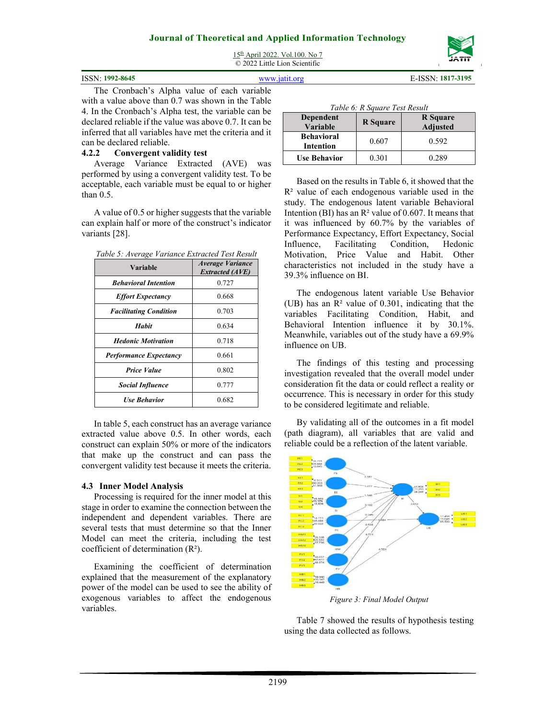15th April 2022. Vol.100. No 7 © 2022 Little Lion Scientific



ISSN: **1992-8645** www.jatit.org E-ISSN: **1817-3195**

The Cronbach's Alpha value of each variable with a value above than 0.7 was shown in the Table 4. In the Cronbach's Alpha test, the variable can be declared reliable if the value was above 0.7. It can be inferred that all variables have met the criteria and it can be declared reliable.

### **4.2.2 Convergent validity test**

Average Variance Extracted (AVE) was performed by using a convergent validity test. To be acceptable, each variable must be equal to or higher than 0.5.

A value of 0.5 or higher suggests that the variable can explain half or more of the construct's indicator variants [28].

| Table 5: Average Variance Extracted Test Result |  |  |
|-------------------------------------------------|--|--|
|                                                 |  |  |

| Variable                      | <b>Average Variance</b><br><b>Extracted (AVE)</b> |
|-------------------------------|---------------------------------------------------|
| <b>Behavioral Intention</b>   | 0.727                                             |
| <b>Effort Expectancy</b>      | 0.668                                             |
| <b>Facilitating Condition</b> | 0.703                                             |
| Habit                         | 0.634                                             |
| <b>Hedonic Motivation</b>     | 0.718                                             |
| <b>Performance Expectancy</b> | 0.661                                             |
| <b>Price Value</b>            | 0.802                                             |
| <b>Social Influence</b>       | 0.777                                             |
| <b>Use Behavior</b>           | 0.682                                             |

In table 5, each construct has an average variance extracted value above 0.5. In other words, each construct can explain 50% or more of the indicators that make up the construct and can pass the convergent validity test because it meets the criteria.

### **4.3 Inner Model Analysis**

Processing is required for the inner model at this stage in order to examine the connection between the independent and dependent variables. There are several tests that must determine so that the Inner Model can meet the criteria, including the test coefficient of determination (R²).

Examining the coefficient of determination explained that the measurement of the explanatory power of the model can be used to see the ability of exogenous variables to affect the endogenous variables.

|  | Table 6: R Square Test Result |  |  |
|--|-------------------------------|--|--|
|  |                               |  |  |

| Dependent<br>Variable                 | <b>R</b> Square | <b>R</b> Square<br><b>Adjusted</b> |
|---------------------------------------|-----------------|------------------------------------|
| <b>Behavioral</b><br><b>Intention</b> | 0.607           | 0.592                              |
| <b>Use Behavior</b>                   | 0.301           | 0 289                              |

Based on the results in Table 6, it showed that the  $R<sup>2</sup>$  value of each endogenous variable used in the study. The endogenous latent variable Behavioral Intention (BI) has an  $\mathbb{R}^2$  value of 0.607. It means that it was influenced by 60.7% by the variables of Performance Expectancy, Effort Expectancy, Social Influence, Facilitating Condition, Hedonic Motivation, Price Value and Habit. Other characteristics not included in the study have a 39.3% influence on BI.

The endogenous latent variable Use Behavior (UB) has an R² value of 0.301, indicating that the variables Facilitating Condition, Habit, and Behavioral Intention influence it by 30.1%. Meanwhile, variables out of the study have a 69.9% influence on UB.

The findings of this testing and processing investigation revealed that the overall model under consideration fit the data or could reflect a reality or occurrence. This is necessary in order for this study to be considered legitimate and reliable.

By validating all of the outcomes in a fit model (path diagram), all variables that are valid and reliable could be a reflection of the latent variable.



*Figure 3: Final Model Output*

Table 7 showed the results of hypothesis testing using the data collected as follows.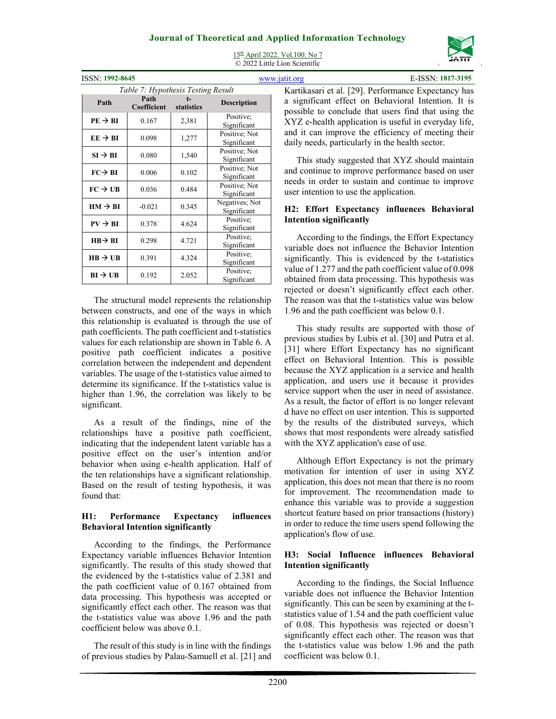

| <b>ISSN: 1992-8645</b> |                                    |            |                               |  |
|------------------------|------------------------------------|------------|-------------------------------|--|
|                        | Table 7: Hypothesis Testing Result |            |                               |  |
| Path                   | Path<br>Coefficient                | statistics | <b>Description</b>            |  |
| $PE \rightarrow BI$    | 0.167                              | 2,381      | Positive:<br>Significant      |  |
| $EE \rightarrow BI$    | 0.098                              | 1,277      | Positive; Not<br>Significant  |  |
| $SI \rightarrow BI$    | 0.080                              | 1,540      | Positive; Not<br>Significant  |  |
| $FC \rightarrow BI$    | 0.006                              | 0.102      | Positive; Not<br>Significant  |  |
| $FC \rightarrow UB$    | 0.036                              | 0.484      | Positive; Not<br>Significant  |  |
| $HM \rightarrow BI$    | $-0.021$                           | 0.345      | Negatives; Not<br>Significant |  |
| $PV \rightarrow BI$    | 0.378                              | 4.624      | Positive:<br>Significant      |  |
| $HB \rightarrow BI$    | 0.298                              | 4.721      | Positive;<br>Significant      |  |
| $HB \rightarrow UB$    | 0.391                              | 4.324      | Positive:<br>Significant      |  |
| $BI \rightarrow UB$    | 0.192                              | 2.052      | Positive:<br>Significant      |  |

15th April 2022. Vol.100. No 7 © 2022 Little Lion Scientific

The structural model represents the relationship between constructs, and one of the ways in which this relationship is evaluated is through the use of path coefficients. The path coefficient and t-statistics values for each relationship are shown in Table 6. A positive path coefficient indicates a positive correlation between the independent and dependent variables. The usage of the t-statistics value aimed to determine its significance. If the t-statistics value is higher than 1.96, the correlation was likely to be significant.

As a result of the findings, nine of the relationships have a positive path coefficient, indicating that the independent latent variable has a positive effect on the user's intention and/or behavior when using e-health application. Half of the ten relationships have a significant relationship. Based on the result of testing hypothesis, it was found that:

### **H1: Performance Expectancy influences Behavioral Intention significantly**

According to the findings, the Performance Expectancy variable influences Behavior Intention significantly. The results of this study showed that the evidenced by the t-statistics value of 2.381 and the path coefficient value of 0.167 obtained from data processing. This hypothesis was accepted or significantly effect each other. The reason was that the t-statistics value was above 1.96 and the path coefficient below was above 0.1.

The result of this study is in line with the findings of previous studies by Palau-Samuell et al. [21] and

ISSN: **1992-8645** www.jatit.org E-ISSN: **1817-3195** Kartikasari et al. [29]. Performance Expectancy has a significant effect on Behavioral Intention. It is possible to conclude that users find that using the XYZ e-health application is useful in everyday life, and it can improve the efficiency of meeting their daily needs, particularly in the health sector.

This study suggested that XYZ should maintain and continue to improve performance based on user needs in order to sustain and continue to improve user intention to use the application.

### **H2: Effort Expectancy influences Behavioral Intention significantly**

According to the findings, the Effort Expectancy variable does not influence the Behavior Intention significantly. This is evidenced by the t-statistics value of 1.277 and the path coefficient value of 0.098 obtained from data processing. This hypothesis was rejected or doesn't significantly effect each other. The reason was that the t-statistics value was below 1.96 and the path coefficient was below 0.1.

This study results are supported with those of previous studies by Lubis et al. [30] and Putra et al. [31] where Effort Expectancy has no significant effect on Behavioral Intention. This is possible because the XYZ application is a service and health application, and users use it because it provides service support when the user in need of assistance. As a result, the factor of effort is no longer relevant d have no effect on user intention. This is supported by the results of the distributed surveys, which shows that most respondents were already satisfied with the XYZ application's ease of use.

Although Effort Expectancy is not the primary motivation for intention of user in using XYZ application, this does not mean that there is no room for improvement. The recommendation made to enhance this variable was to provide a suggestion shortcut feature based on prior transactions (history) in order to reduce the time users spend following the application's flow of use.

### **H3: Social Influence influences Behavioral Intention significantly**

According to the findings, the Social Influence variable does not influence the Behavior Intention significantly. This can be seen by examining at the tstatistics value of 1.54 and the path coefficient value of 0.08. This hypothesis was rejected or doesn't significantly effect each other. The reason was that the t-statistics value was below 1.96 and the path coefficient was below 0.1.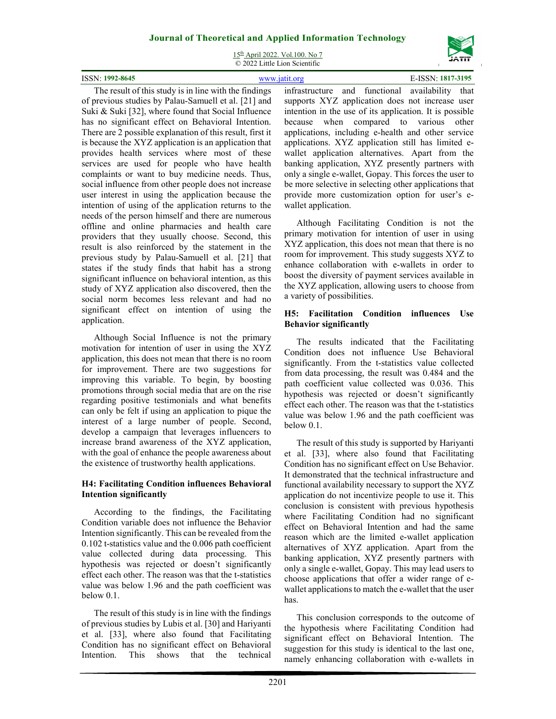15th April 2022. Vol.100. No 7 © 2022 Little Lion Scientific

| ISSN: 1992-8645 |  |  |                                                                                  |  |  |  | E-ISSN: 1817-3195 |  |  |  |           |  |
|-----------------|--|--|----------------------------------------------------------------------------------|--|--|--|-------------------|--|--|--|-----------|--|
| T1              |  |  | $\mathbf{u}$ and $\mathbf{u}$ and $\mathbf{u}$ and $\mathbf{u}$ and $\mathbf{u}$ |  |  |  |                   |  |  |  | $-111111$ |  |

The result of this study is in line with the findings of previous studies by Palau-Samuell et al. [21] and Suki & Suki [32], where found that Social Influence has no significant effect on Behavioral Intention. There are 2 possible explanation of this result, first it is because the XYZ application is an application that provides health services where most of these services are used for people who have health complaints or want to buy medicine needs. Thus, social influence from other people does not increase user interest in using the application because the intention of using of the application returns to the needs of the person himself and there are numerous offline and online pharmacies and health care providers that they usually choose. Second, this result is also reinforced by the statement in the previous study by Palau-Samuell et al. [21] that states if the study finds that habit has a strong significant influence on behavioral intention, as this study of XYZ application also discovered, then the social norm becomes less relevant and had no significant effect on intention of using the application.

Although Social Influence is not the primary motivation for intention of user in using the XYZ application, this does not mean that there is no room for improvement. There are two suggestions for improving this variable. To begin, by boosting promotions through social media that are on the rise regarding positive testimonials and what benefits can only be felt if using an application to pique the interest of a large number of people. Second, develop a campaign that leverages influencers to increase brand awareness of the XYZ application, with the goal of enhance the people awareness about the existence of trustworthy health applications.

### **H4: Facilitating Condition influences Behavioral Intention significantly**

According to the findings, the Facilitating Condition variable does not influence the Behavior Intention significantly. This can be revealed from the 0.102 t-statistics value and the 0.006 path coefficient value collected during data processing. This hypothesis was rejected or doesn't significantly effect each other. The reason was that the t-statistics value was below 1.96 and the path coefficient was below 0.1.

The result of this study is in line with the findings of previous studies by Lubis et al. [30] and Hariyanti et al. [33], where also found that Facilitating Condition has no significant effect on Behavioral Intention. This shows that the technical infrastructure and functional availability that supports XYZ application does not increase user intention in the use of its application. It is possible because when compared to various other applications, including e-health and other service applications. XYZ application still has limited ewallet application alternatives. Apart from the banking application, XYZ presently partners with only a single e-wallet, Gopay. This forces the user to be more selective in selecting other applications that provide more customization option for user's ewallet application.

Although Facilitating Condition is not the primary motivation for intention of user in using XYZ application, this does not mean that there is no room for improvement. This study suggests XYZ to enhance collaboration with e-wallets in order to boost the diversity of payment services available in the XYZ application, allowing users to choose from a variety of possibilities.

### **H5: Facilitation Condition influences Use Behavior significantly**

The results indicated that the Facilitating Condition does not influence Use Behavioral significantly. From the t-statistics value collected from data processing, the result was 0.484 and the path coefficient value collected was 0.036. This hypothesis was rejected or doesn't significantly effect each other. The reason was that the t-statistics value was below 1.96 and the path coefficient was below 0.1.

The result of this study is supported by Hariyanti et al. [33], where also found that Facilitating Condition has no significant effect on Use Behavior. It demonstrated that the technical infrastructure and functional availability necessary to support the XYZ application do not incentivize people to use it. This conclusion is consistent with previous hypothesis where Facilitating Condition had no significant effect on Behavioral Intention and had the same reason which are the limited e-wallet application alternatives of XYZ application. Apart from the banking application, XYZ presently partners with only a single e-wallet, Gopay. This may lead users to choose applications that offer a wider range of ewallet applications to match the e-wallet that the user has.

This conclusion corresponds to the outcome of the hypothesis where Facilitating Condition had significant effect on Behavioral Intention. The suggestion for this study is identical to the last one, namely enhancing collaboration with e-wallets in

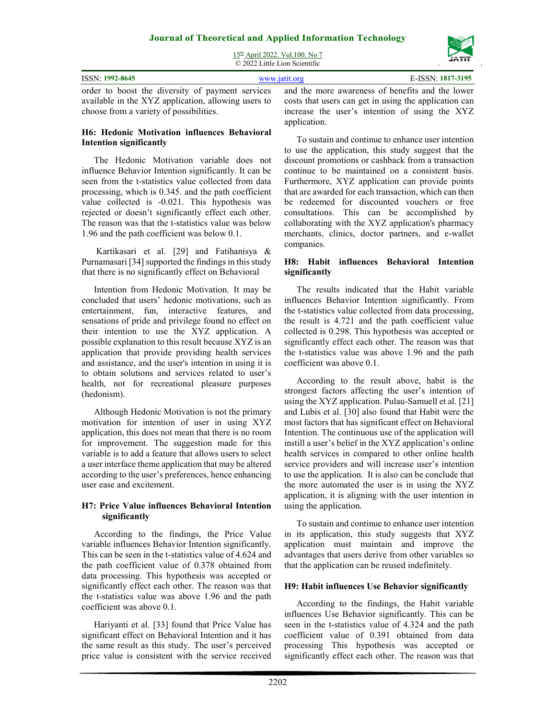

| $15th$ April 2022. Vol.100. No 7 |
|----------------------------------|
| © 2022 Little Lion Scientific    |

| <b>ISSN: 1992-8645</b>                              | E-ISSN: 1817-3195<br>www.jatit.org                                                                                                                         |
|-----------------------------------------------------|------------------------------------------------------------------------------------------------------------------------------------------------------------|
| available in the XYZ application, allowing users to | order to boost the diversity of payment services and the more awareness of benefits and the lower<br>costs that users can get in using the application can |
| choose from a variety of possibilities.             | increase the user's intention of using the XYZ                                                                                                             |

### **H6: Hedonic Motivation influences Behavioral Intention significantly**

The Hedonic Motivation variable does not influence Behavior Intention significantly. It can be seen from the t-statistics value collected from data processing, which is 0.345. and the path coefficient value collected is -0.021. This hypothesis was rejected or doesn't significantly effect each other. The reason was that the t-statistics value was below 1.96 and the path coefficient was below 0.1.

 Kartikasari et al. [29] and Fatihanisya & Purnamasari [34] supported the findings in this study that there is no significantly effect on Behavioral

Intention from Hedonic Motivation. It may be concluded that users' hedonic motivations, such as entertainment, fun, interactive features, and sensations of pride and privilege found no effect on their intention to use the XYZ application. A possible explanation to this result because XYZ is an application that provide providing health services and assistance, and the user's intention in using it is to obtain solutions and services related to user's health, not for recreational pleasure purposes (hedonism).

Although Hedonic Motivation is not the primary motivation for intention of user in using XYZ application, this does not mean that there is no room for improvement. The suggestion made for this variable is to add a feature that allows users to select a user interface theme application that may be altered according to the user's preferences, hence enhancing user ease and excitement.

### **H7: Price Value influences Behavioral Intention significantly**

According to the findings, the Price Value variable influences Behavior Intention significantly. This can be seen in the t-statistics value of 4.624 and the path coefficient value of 0.378 obtained from data processing. This hypothesis was accepted or significantly effect each other. The reason was that the t-statistics value was above 1.96 and the path coefficient was above 0.1.

Hariyanti et al. [33] found that Price Value has significant effect on Behavioral Intention and it has the same result as this study. The user's perceived price value is consistent with the service received

increase the user's intention of using the XYZ application.

To sustain and continue to enhance user intention to use the application, this study suggest that the discount promotions or cashback from a transaction continue to be maintained on a consistent basis. Furthermore, XYZ application can provide points that are awarded for each transaction, which can then be redeemed for discounted vouchers or free consultations. This can be accomplished by collaborating with the XYZ application's pharmacy merchants, clinics, doctor partners, and e-wallet companies.

### **H8: Habit influences Behavioral Intention significantly**

The results indicated that the Habit variable influences Behavior Intention significantly. From the t-statistics value collected from data processing, the result is 4.721 and the path coefficient value collected is 0.298. This hypothesis was accepted or significantly effect each other. The reason was that the t-statistics value was above 1.96 and the path coefficient was above 0.1.

According to the result above, habit is the strongest factors affecting the user's intention of using the XYZ application. Pulau-Samuell et al. [21] and Lubis et al. [30] also found that Habit were the most factors that has significant effect on Behavioral Intention. The continuous use of the application will instill a user's belief in the XYZ application's online health services in compared to other online health service providers and will increase user's intention to use the application. It is also can be conclude that the more automated the user is in using the XYZ application, it is aligning with the user intention in using the application.

To sustain and continue to enhance user intention in its application, this study suggests that XYZ application must maintain and improve the advantages that users derive from other variables so that the application can be reused indefinitely.

### **H9: Habit influences Use Behavior significantly**

According to the findings, the Habit variable influences Use Behavior significantly. This can be seen in the t-statistics value of 4.324 and the path coefficient value of 0.391 obtained from data processing This hypothesis was accepted or significantly effect each other. The reason was that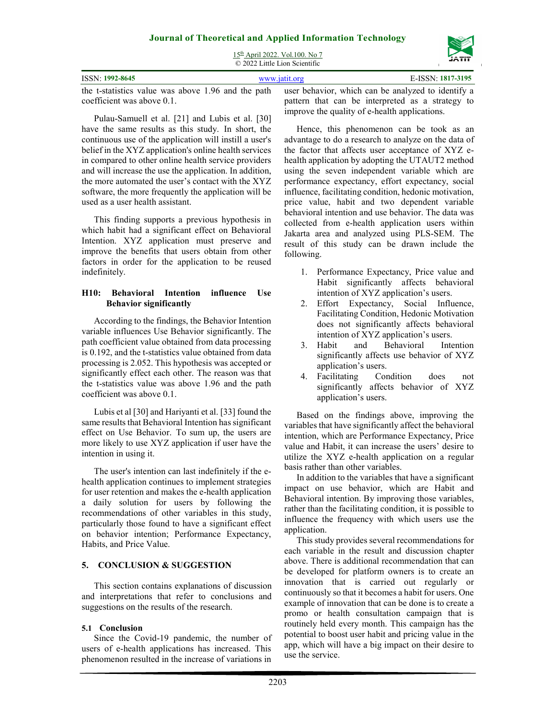15th April 2022. Vol.100. No 7  $\overline{Q}$  2022 Little Lion Scientific

|                                                                                                       | $\approx$ 2022 Little Libii Scientine |                                                  |
|-------------------------------------------------------------------------------------------------------|---------------------------------------|--------------------------------------------------|
| <b>ISSN: 1992-8645</b>                                                                                | www.jatit.org                         | E-ISSN: 1817-3195                                |
| the t-statistics value was above 1.96 and the path user behavior, which can be analyzed to identify a |                                       |                                                  |
| coefficient was above 0.1.                                                                            |                                       | pattern that can be interpreted as a strategy to |

Pulau-Samuell et al. [21] and Lubis et al. [30] have the same results as this study. In short, the continuous use of the application will instill a user's belief in the XYZ application's online health services in compared to other online health service providers and will increase the use the application. In addition, the more automated the user's contact with the XYZ software, the more frequently the application will be used as a user health assistant.

This finding supports a previous hypothesis in which habit had a significant effect on Behavioral Intention. XYZ application must preserve and improve the benefits that users obtain from other factors in order for the application to be reused indefinitely.

### **H10: Behavioral Intention influence Use Behavior significantly**

According to the findings, the Behavior Intention variable influences Use Behavior significantly. The path coefficient value obtained from data processing is 0.192, and the t-statistics value obtained from data processing is 2.052. This hypothesis was accepted or significantly effect each other. The reason was that the t-statistics value was above 1.96 and the path coefficient was above 0.1.

Lubis et al [30] and Hariyanti et al. [33] found the same results that Behavioral Intention has significant effect on Use Behavior. To sum up, the users are more likely to use XYZ application if user have the intention in using it.

The user's intention can last indefinitely if the ehealth application continues to implement strategies for user retention and makes the e-health application a daily solution for users by following the recommendations of other variables in this study, particularly those found to have a significant effect on behavior intention; Performance Expectancy, Habits, and Price Value.

### **5. CONCLUSION & SUGGESTION**

This section contains explanations of discussion and interpretations that refer to conclusions and suggestions on the results of the research.

### **5.1 Conclusion**

Since the Covid-19 pandemic, the number of users of e-health applications has increased. This phenomenon resulted in the increase of variations in pattern that can be interpreted as a strategy to improve the quality of e-health applications.

Hence, this phenomenon can be took as an advantage to do a research to analyze on the data of the factor that affects user acceptance of XYZ ehealth application by adopting the UTAUT2 method using the seven independent variable which are performance expectancy, effort expectancy, social influence, facilitating condition, hedonic motivation, price value, habit and two dependent variable behavioral intention and use behavior. The data was collected from e-health application users within Jakarta area and analyzed using PLS-SEM. The result of this study can be drawn include the following.

- 1. Performance Expectancy, Price value and Habit significantly affects behavioral intention of XYZ application's users.
- 2. Effort Expectancy, Social Influence, Facilitating Condition, Hedonic Motivation does not significantly affects behavioral intention of XYZ application's users.
- 3. Habit and Behavioral Intention significantly affects use behavior of XYZ application's users.
- 4. Facilitating Condition does not significantly affects behavior of XYZ application's users.

Based on the findings above, improving the variables that have significantly affect the behavioral intention, which are Performance Expectancy, Price value and Habit, it can increase the users' desire to utilize the XYZ e-health application on a regular basis rather than other variables.

In addition to the variables that have a significant impact on use behavior, which are Habit and Behavioral intention. By improving those variables, rather than the facilitating condition, it is possible to influence the frequency with which users use the application.

This study provides several recommendations for each variable in the result and discussion chapter above. There is additional recommendation that can be developed for platform owners is to create an innovation that is carried out regularly or continuously so that it becomes a habit for users. One example of innovation that can be done is to create a promo or health consultation campaign that is routinely held every month. This campaign has the potential to boost user habit and pricing value in the app, which will have a big impact on their desire to use the service.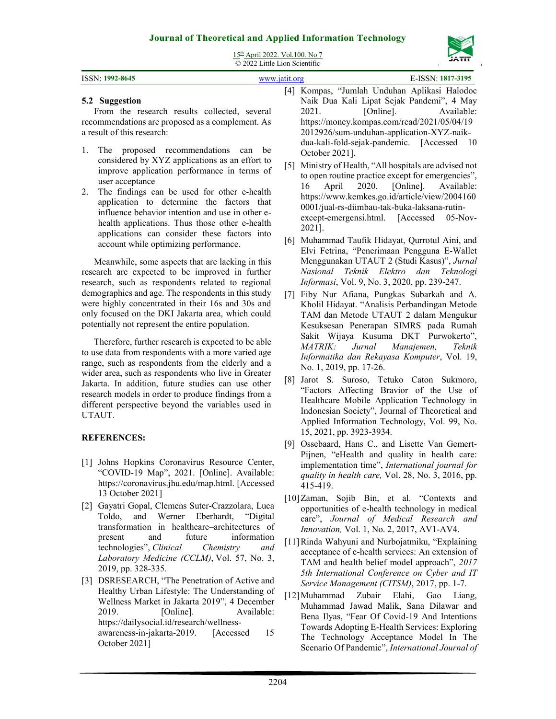

| 15th April 2022. Vol. 100. No 7<br>© 2022 Little Lion Scientific                                                                                                                                                                                                                                                                                                                                                                                                                                                                                                                                                                                                                                                                                                                    |                                                                                                                                                                                                                                                                                                                                                                                                                                                                                                                                                                                                                                                                                                                                                                                                             |
|-------------------------------------------------------------------------------------------------------------------------------------------------------------------------------------------------------------------------------------------------------------------------------------------------------------------------------------------------------------------------------------------------------------------------------------------------------------------------------------------------------------------------------------------------------------------------------------------------------------------------------------------------------------------------------------------------------------------------------------------------------------------------------------|-------------------------------------------------------------------------------------------------------------------------------------------------------------------------------------------------------------------------------------------------------------------------------------------------------------------------------------------------------------------------------------------------------------------------------------------------------------------------------------------------------------------------------------------------------------------------------------------------------------------------------------------------------------------------------------------------------------------------------------------------------------------------------------------------------------|
| ISSN: 1992-8645                                                                                                                                                                                                                                                                                                                                                                                                                                                                                                                                                                                                                                                                                                                                                                     | E-ISSN: 1817-3195<br>www.jatit.org                                                                                                                                                                                                                                                                                                                                                                                                                                                                                                                                                                                                                                                                                                                                                                          |
| 5.2 Suggestion<br>From the research results collected, several<br>recommendations are proposed as a complement. As<br>a result of this research:                                                                                                                                                                                                                                                                                                                                                                                                                                                                                                                                                                                                                                    | [4] Kompas, "Jumlah Unduhan Aplikasi Halodoc<br>Naik Dua Kali Lipat Sejak Pandemi", 4 May<br>2021.<br>[Online].<br>Available:<br>https://money.kompas.com/read/2021/05/04/19<br>2012926/sum-unduhan-application-XYZ-naik-                                                                                                                                                                                                                                                                                                                                                                                                                                                                                                                                                                                   |
| The proposed recommendations<br>1.<br>can<br>be<br>considered by XYZ applications as an effort to<br>improve application performance in terms of<br>user acceptance<br>The findings can be used for other e-health<br>2.<br>application to determine the factors that<br>influence behavior intention and use in other e-<br>health applications. Thus those other e-health<br>applications can consider these factors into<br>account while optimizing performance.                                                                                                                                                                                                                                                                                                                | dua-kali-fold-sejak-pandemic. [Accessed 10<br>October 2021].<br>Ministry of Health, "All hospitals are advised not<br>$\lceil 5 \rceil$<br>to open routine practice except for emergencies",<br>April<br>2020.<br>[Online].<br>16<br>Available:<br>https://www.kemkes.go.id/article/view/2004160<br>0001/jual-rs-diimbau-tak-buka-laksana-rutin-<br>except-emergensi.html. [Accessed<br>$05-Nov-$<br>2021].<br>[6] Muhammad Taufik Hidayat, Qurrotul Aini, and                                                                                                                                                                                                                                                                                                                                              |
| Meanwhile, some aspects that are lacking in this<br>research are expected to be improved in further<br>research, such as respondents related to regional<br>demographics and age. The respondents in this study<br>were highly concentrated in their 16s and 30s and<br>only focused on the DKI Jakarta area, which could<br>potentially not represent the entire population.<br>Therefore, further research is expected to be able<br>to use data from respondents with a more varied age<br>range, such as respondents from the elderly and a<br>wider area, such as respondents who live in Greater<br>Jakarta. In addition, future studies can use other<br>research models in order to produce findings from a<br>different perspective beyond the variables used in<br>UTAUT. | Elvi Fetrina, "Penerimaan Pengguna E-Wallet<br>Menggunakan UTAUT 2 (Studi Kasus)", Jurnal<br>Nasional Teknik Elektro dan<br>Teknologi<br>Informasi, Vol. 9, No. 3, 2020, pp. 239-247.<br>[7] Fiby Nur Afiana, Pungkas Subarkah and A.<br>Kholil Hidayat. "Analisis Perbandingan Metode<br>TAM dan Metode UTAUT 2 dalam Mengukur<br>Kesuksesan Penerapan SIMRS pada Rumah<br>Sakit Wijaya Kusuma DKT Purwokerto",<br>Manajemen,<br><i>MATRIK:</i><br>Jurnal<br>Teknik<br>Informatika dan Rekayasa Komputer, Vol. 19,<br>No. 1, 2019, pp. 17-26.<br>Jarot S. Suroso, Tetuko Caton Sukmoro,<br>$\lceil 8 \rceil$<br>"Factors Affecting Bravior of the Use of<br>Healthcare Mobile Application Technology in<br>Indonesian Society", Journal of Theoretical and<br>Applied Information Technology, Vol. 99, No. |
| <b>REFERENCES:</b>                                                                                                                                                                                                                                                                                                                                                                                                                                                                                                                                                                                                                                                                                                                                                                  | 15, 2021, pp. 3923-3934.<br>[9] Ossebaard, Hans C., and Lisette Van Gemert-                                                                                                                                                                                                                                                                                                                                                                                                                                                                                                                                                                                                                                                                                                                                 |
| [1] Johns Hopkins Coronavirus Resource Center,<br>"COVID-19 Map", 2021. [Online]. Available:<br>https://coronavirus.jhu.edu/map.html. [Accessed<br>13 October 2021]                                                                                                                                                                                                                                                                                                                                                                                                                                                                                                                                                                                                                 | Pijnen, "eHealth and quality in health care:<br>implementation time", International journal for<br>quality in health care, Vol. 28, No. 3, 2016, pp.<br>415-419.                                                                                                                                                                                                                                                                                                                                                                                                                                                                                                                                                                                                                                            |
| [2] Gayatri Gopal, Clemens Suter-Crazzolara, Luca<br>Werner Eberhardt,<br>Toldo,<br>and<br>"Digital"<br>transformation in healthcare-architectures of<br>future<br>information<br>and<br>present<br>technologies", Clinical<br>Chemistry<br>and<br>Laboratory Medicine (CCLM), Vol. 57, No. 3,<br>2019, pp. 328-335.<br>[3] DSRESEARCH, "The Penetration of Active and<br>Healthy Urban Lifestyle: The Understanding of<br>Wellness Market in Jakarta 2019", 4 December                                                                                                                                                                                                                                                                                                             | [10] Zaman, Sojib Bin, et al. "Contexts and<br>opportunities of e-health technology in medical<br>care", Journal of Medical Research and<br>Innovation, Vol. 1, No. 2, 2017, AV1-AV4.<br>[11] Rinda Wahyuni and Nurbojatmiku, "Explaining<br>acceptance of e-health services: An extension of<br>TAM and health belief model approach", 2017<br>5th International Conference on Cyber and IT<br>Service Management (CITSM), 2017, pp. 1-7.<br>[12] Muhammad<br>Zubair<br>Elahi,<br>Gao<br>Liang,                                                                                                                                                                                                                                                                                                            |

[12]Muhammad Zubair Elahi, Gao Liang, Muhammad Jawad Malik, Sana Dilawar and Bena Ilyas, "Fear Of Covid-19 And Intentions Towards Adopting E-Health Services: Exploring The Technology Acceptance Model In The Scenario Of Pandemic", *International Journal of* 

2019. [Online]. Available:

awareness-in-jakarta-2019. [Accessed 15

https://dailysocial.id/research/wellness-

October 2021]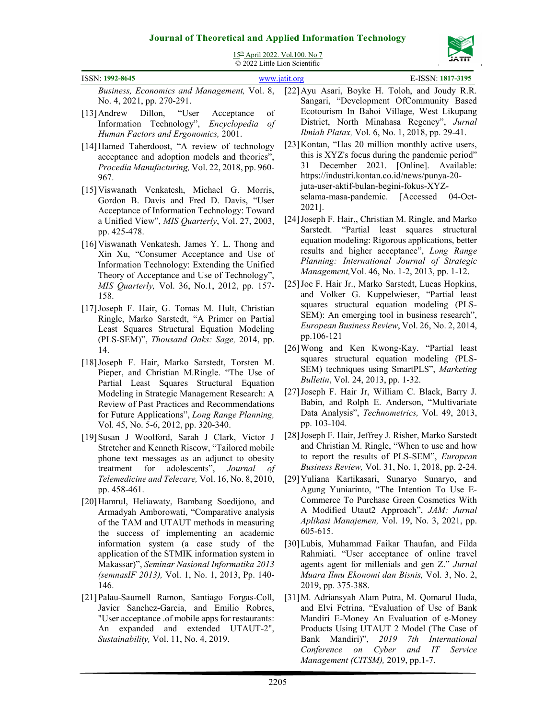

15th April 2022. Vol.100. No 7

| $15.1$ $\mu$ m $2022.$ $\mu$ $\sigma$ . $100.1$<br>© 2022 Little Lion Scientific                                                                                                                                                                                                                                                                                                     | דורגל                                                                                                                                                                                                                                                                                                                                                            |
|--------------------------------------------------------------------------------------------------------------------------------------------------------------------------------------------------------------------------------------------------------------------------------------------------------------------------------------------------------------------------------------|------------------------------------------------------------------------------------------------------------------------------------------------------------------------------------------------------------------------------------------------------------------------------------------------------------------------------------------------------------------|
| ISSN: 1992-8645                                                                                                                                                                                                                                                                                                                                                                      | E-ISSN: 1817-3195<br>www.jatit.org                                                                                                                                                                                                                                                                                                                               |
| Business, Economics and Management, Vol. 8,<br>No. 4, 2021, pp. 270-291.<br>of<br>[13] Andrew Dillon,<br>"User<br>Acceptance<br>Information Technology",<br>Encyclopedia<br>$\iota$<br>Human Factors and Ergonomics, 2001.                                                                                                                                                           | [22] Ayu Asari, Boyke H. Toloh, and Joudy R.R.<br>Sangari, "Development OfCommunity Based<br>Ecotourism In Bahoi Village, West Likupang<br>District, North Minahasa Regency", Jurnal<br>Ilmiah Platax, Vol. 6, No. 1, 2018, pp. 29-41.                                                                                                                           |
| [14] Hamed Taherdoost, "A review of technology<br>acceptance and adoption models and theories",<br>Procedia Manufacturing, Vol. 22, 2018, pp. 960-<br>967.<br>[15] Viswanath Venkatesh, Michael G. Morris,<br>Gordon B. Davis and Fred D. Davis, "User<br>Acceptance of Information Technology: Toward<br>a Unified View", MIS Quarterly, Vol. 27, 2003,                             | [23] Kontan, "Has 20 million monthly active users,<br>this is XYZ's focus during the pandemic period"<br>December 2021. [Online]. Available:<br>31<br>https://industri.kontan.co.id/news/punya-20-<br>juta-user-aktif-bulan-begini-fokus-XYZ-<br>selama-masa-pandemic. [Accessed<br>$04$ -Oct-<br>2021].<br>[24] Joseph F. Hair,, Christian M. Ringle, and Marko |
| pp. 425-478.<br>[16] Viswanath Venkatesh, James Y. L. Thong and<br>Xin Xu, "Consumer Acceptance and Use of<br>Information Technology: Extending the Unified<br>Theory of Acceptance and Use of Technology",<br>MIS Quarterly, Vol. 36, No.1, 2012, pp. 157-<br>158.                                                                                                                  | "Partial least squares structural<br>Sarstedt.<br>equation modeling: Rigorous applications, better<br>results and higher acceptance", Long Range<br>Planning: International Journal of Strategic<br>Management, Vol. 46, No. 1-2, 2013, pp. 1-12.<br>[25] Joe F. Hair Jr., Marko Sarstedt, Lucas Hopkins,<br>and Volker G. Kuppelwieser, "Partial least          |
| [17] Joseph F. Hair, G. Tomas M. Hult, Christian<br>Ringle, Marko Sarstedt, "A Primer on Partial<br>Least Squares Structural Equation Modeling<br>(PLS-SEM)", Thousand Oaks: Sage, 2014, pp.<br>14.<br>[18] Joseph F. Hair, Marko Sarstedt, Torsten M.<br>Pieper, and Christian M.Ringle. "The Use of                                                                                | squares structural equation modeling (PLS-<br>SEM): An emerging tool in business research",<br>European Business Review, Vol. 26, No. 2, 2014,<br>pp.106-121<br>[26] Wong and Ken Kwong-Kay. "Partial least<br>squares structural equation modeling (PLS-<br>SEM) techniques using SmartPLS", Marketing                                                          |
| Partial Least Squares Structural Equation<br>Modeling in Strategic Management Research: A<br>Review of Past Practices and Recommendations<br>for Future Applications", Long Range Planning,<br>Vol. 45, No. 5-6, 2012, pp. 320-340.                                                                                                                                                  | Bulletin, Vol. 24, 2013, pp. 1-32.<br>[27] Joseph F. Hair Jr, William C. Black, Barry J.<br>Babin, and Rolph E. Anderson, "Multivariate<br>Data Analysis", Technometrics, Vol. 49, 2013,<br>pp. 103-104.                                                                                                                                                         |
| [19] Susan J Woolford, Sarah J Clark, Victor J<br>Stretcher and Kenneth Riscow, "Tailored mobile<br>phone text messages as an adjunct to obesity<br>adolescents", Journal<br>for<br>treatment<br>of<br>Telemedicine and Telecare, Vol. 16, No. 8, 2010,<br>pp. 458-461.                                                                                                              | [28] Joseph F. Hair, Jeffrey J. Risher, Marko Sarstedt<br>and Christian M. Ringle, "When to use and how<br>to report the results of PLS-SEM", European<br><i>Business Review, Vol. 31, No. 1, 2018, pp. 2-24.</i><br>[29] Yuliana Kartikasari, Sunaryo Sunaryo, and<br>Agung Yuniarinto, "The Intention To Use E-                                                |
| [20] Hamrul, Heliawaty, Bambang Soedijono, and<br>Armadyah Amborowati, "Comparative analysis<br>of the TAM and UTAUT methods in measuring<br>the success of implementing an academic<br>information system (a case study of the<br>application of the STMIK information system in<br>Makassar)", Seminar Nasional Informatika 2013<br>(semnasIF 2013), Vol. 1, No. 1, 2013, Pp. 140- | Commerce To Purchase Green Cosmetics With<br>A Modified Utaut2 Approach", JAM: Jurnal<br>Aplikasi Manajemen, Vol. 19, No. 3, 2021, pp.<br>$605 - 615.$<br>[30] Lubis, Muhammad Faikar Thaufan, and Filda<br>Rahmiati. "User acceptance of online travel<br>agents agent for millenials and gen Z." Jurnal<br>Muara Ilmu Ekonomi dan Bisnis, Vol. 3, No. 2,       |
| 146.<br>[21] Palau-Saumell Ramon, Santiago Forgas-Coll,<br>Javier Sanchez-Garcia, and Emilio Robres,<br>"User acceptance .of mobile apps for restaurants:<br>expanded and extended UTAUT-2",<br>An<br>Sustainability, Vol. 11, No. 4, 2019.                                                                                                                                          | 2019, pp. 375-388.<br>[31] M. Adriansyah Alam Putra, M. Qomarul Huda,<br>and Elvi Fetrina, "Evaluation of Use of Bank<br>Mandiri E-Money An Evaluation of e-Money<br>Products Using UTAUT 2 Model (The Case of<br>Mandiri)",<br>2019<br>7th<br>International<br>Bank<br>Conference<br>Cyber<br>and<br>IT<br>on<br>Service<br>Management (CITSM), 2019, pp.1-7.   |